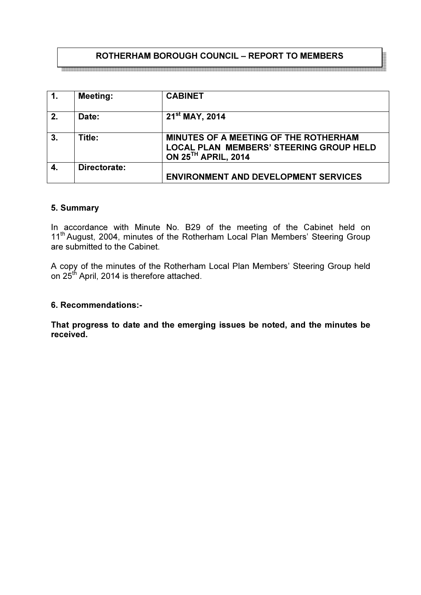# ROTHERHAM BOROUGH COUNCIL – REPORT TO MEMBERS

| $\overline{1}$ . | <b>Meeting:</b> | <b>CABINET</b>                                                                                                             |
|------------------|-----------------|----------------------------------------------------------------------------------------------------------------------------|
| 2.               | Date:           | $21st$ MAY, 2014                                                                                                           |
| 3.               | Title:          | MINUTES OF A MEETING OF THE ROTHERHAM<br><b>LOCAL PLAN MEMBERS' STEERING GROUP HELD</b><br>ON 25 <sup>TH</sup> APRIL, 2014 |
|                  | Directorate:    |                                                                                                                            |
|                  |                 | <b>ENVIRONMENT AND DEVELOPMENT SERVICES</b>                                                                                |

#### 5. Summary

In accordance with Minute No. B29 of the meeting of the Cabinet held on 11<sup>th</sup> August, 2004, minutes of the Rotherham Local Plan Members' Steering Group are submitted to the Cabinet.

A copy of the minutes of the Rotherham Local Plan Members' Steering Group held on 25<sup>th</sup> April, 2014 is therefore attached.

#### 6. Recommendations:-

That progress to date and the emerging issues be noted, and the minutes be received.